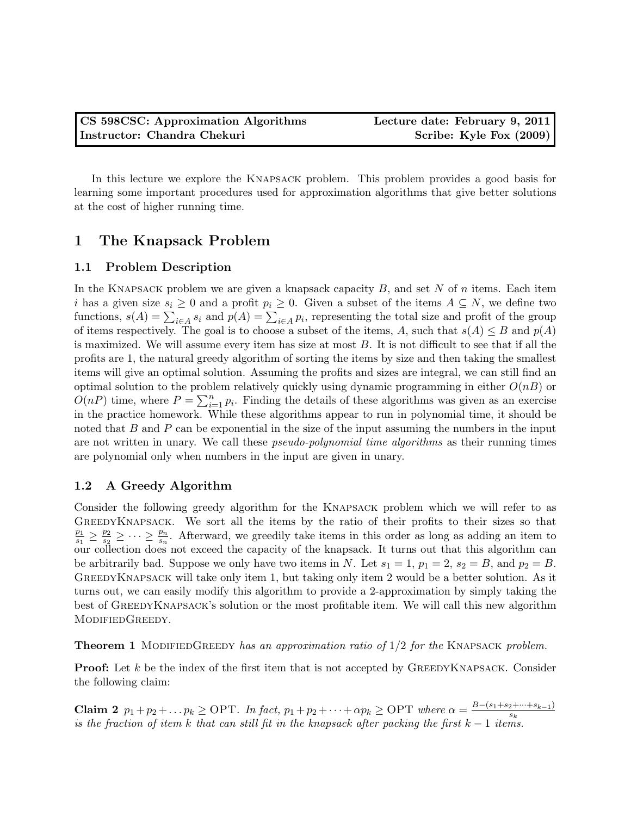In this lecture we explore the Knapsack problem. This problem provides a good basis for learning some important procedures used for approximation algorithms that give better solutions at the cost of higher running time.

# 1 The Knapsack Problem

### 1.1 Problem Description

In the KNAPSACK problem we are given a knapsack capacity  $B$ , and set  $N$  of  $n$  items. Each item i has a given size  $s_i \geq 0$  and a profit  $p_i \geq 0$ . Given a subset of the items  $A \subseteq N$ , we define two functions,  $s(A) = \sum_{i \in A} s_i$  and  $p(A) = \sum_{i \in A} p_i$ , representing the total size and profit of the group of items respectively. The goal is to choose a subset of the items, A, such that  $s(A) \leq B$  and  $p(A)$ is maximized. We will assume every item has size at most B. It is not difficult to see that if all the profits are 1, the natural greedy algorithm of sorting the items by size and then taking the smallest items will give an optimal solution. Assuming the profits and sizes are integral, we can still find an optimal solution to the problem relatively quickly using dynamic programming in either  $O(nB)$  or  $O(nP)$  time, where  $P = \sum_{i=1}^{n} p_i$ . Finding the details of these algorithms was given as an exercise in the practice homework. While these algorithms appear to run in polynomial time, it should be noted that  $B$  and  $P$  can be exponential in the size of the input assuming the numbers in the input are not written in unary. We call these *pseudo-polynomial time algorithms* as their running times are polynomial only when numbers in the input are given in unary.

# 1.2 A Greedy Algorithm

Consider the following greedy algorithm for the Knapsack problem which we will refer to as GreedyKnapsack. We sort all the items by the ratio of their profits to their sizes so that  $p_1$  $\frac{p_1}{s_1} \geq \frac{p_2}{s_2}$  $\frac{p_2}{s_2} \geq \cdots \geq \frac{p_n}{s_n}$ . Afterward, we greedily take items in this order as long as adding an item to our collection does not exceed the capacity of the knapsack. It turns out that this algorithm can be arbitrarily bad. Suppose we only have two items in N. Let  $s_1 = 1$ ,  $p_1 = 2$ ,  $s_2 = B$ , and  $p_2 = B$ . GREEDYKNAPSACK will take only item 1, but taking only item 2 would be a better solution. As it turns out, we can easily modify this algorithm to provide a 2-approximation by simply taking the best of GreedyKnapsack's solution or the most profitable item. We will call this new algorithm MODIFIEDGREEDY.

<span id="page-0-0"></span>**Theorem 1** MODIFIEDGREEDY has an approximation ratio of  $1/2$  for the KNAPSACK problem.

**Proof:** Let  $k$  be the index of the first item that is not accepted by GREEDYKNAPSACK. Consider the following claim:

<span id="page-0-1"></span>**Claim 2**  $p_1+p_2+\ldots p_k \geq \text{OPT}$ . In fact,  $p_1+p_2+\cdots+\alpha p_k \geq \text{OPT}$  where  $\alpha = \frac{B-(s_1+s_2+\cdots+s_{k-1})}{s_k}$  $\overline{s_k}$ is the fraction of item k that can still fit in the knapsack after packing the first  $k - 1$  items.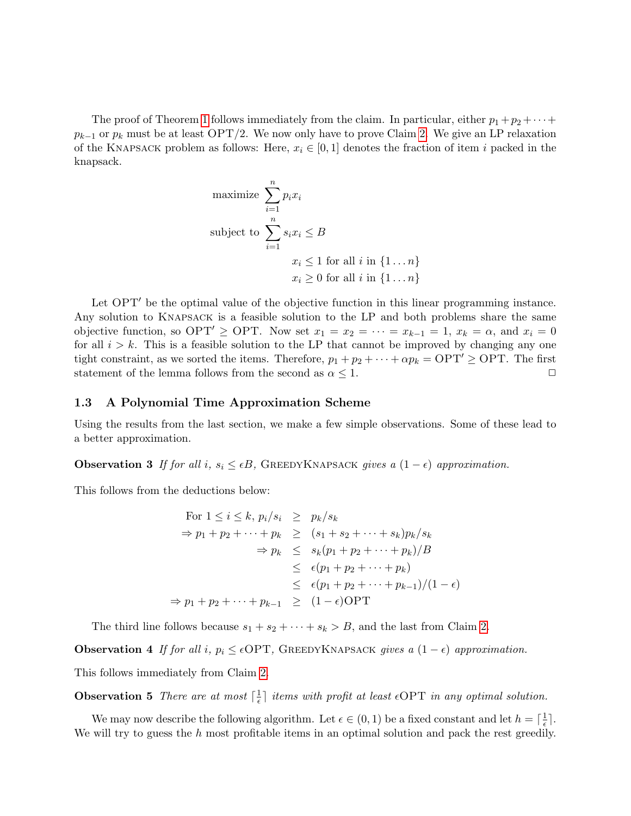The proof of Theorem [1](#page-0-0) follows immediately from the claim. In particular, either  $p_1 + p_2 + \cdots$  $p_{k-1}$  or  $p_k$  must be at least OPT/2. We now only have to prove Claim [2.](#page-0-1) We give an LP relaxation of the KNAPSACK problem as follows: Here,  $x_i \in [0,1]$  denotes the fraction of item i packed in the knapsack.

maximize 
$$
\sum_{i=1}^{n} p_i x_i
$$
  
subject to 
$$
\sum_{i=1}^{n} s_i x_i \leq B
$$

$$
x_i \leq 1 \text{ for all } i \text{ in } \{1 \dots n\}
$$

$$
x_i \geq 0 \text{ for all } i \text{ in } \{1 \dots n\}
$$

Let  $OPT'$  be the optimal value of the objective function in this linear programming instance. Any solution to Knapsack is a feasible solution to the LP and both problems share the same objective function, so OPT'  $\geq$  OPT. Now set  $x_1 = x_2 = \cdots = x_{k-1} = 1$ ,  $x_k = \alpha$ , and  $x_i = 0$ for all  $i > k$ . This is a feasible solution to the LP that cannot be improved by changing any one tight constraint, as we sorted the items. Therefore,  $p_1 + p_2 + \cdots + \alpha p_k = \text{OPT}' \geq \text{OPT}$ . The first statement of the lemma follows from the second as  $\alpha \leq 1$ .

#### 1.3 A Polynomial Time Approximation Scheme

Using the results from the last section, we make a few simple observations. Some of these lead to a better approximation.

**Observation 3** If for all i,  $s_i \leq \epsilon B$ , GREEDYKNAPSACK gives a  $(1 - \epsilon)$  approximation.

This follows from the deductions below:

For 
$$
1 \le i \le k
$$
,  $p_i/s_i \ge p_k/s_k$   
\n $\Rightarrow p_1 + p_2 + \cdots + p_k \ge (s_1 + s_2 + \cdots + s_k)p_k/s_k$   
\n $\Rightarrow p_k \le s_k(p_1 + p_2 + \cdots + p_k)/B$   
\n $\le \epsilon(p_1 + p_2 + \cdots + p_k)$   
\n $\le (\epsilon(p_1 + p_2 + \cdots + p_{k-1})/(1 - \epsilon))$   
\n $\Rightarrow p_1 + p_2 + \cdots + p_{k-1} \ge (1 - \epsilon) \text{OPT}$ 

The third line follows because  $s_1 + s_2 + \cdots + s_k > B$ , and the last from Claim [2.](#page-0-1)

**Observation 4** If for all i,  $p_i \leq \epsilon$ OPT, GREEDYKNAPSACK gives a  $(1 - \epsilon)$  approximation.

This follows immediately from Claim [2.](#page-0-1)

**Observation 5** There are at most  $\left[\frac{1}{\epsilon}\right]$  $\frac{1}{\epsilon}$  items with profit at least  $\epsilon$ OPT in any optimal solution.

We may now describe the following algorithm. Let  $\epsilon \in (0,1)$  be a fixed constant and let  $h = \lceil \frac{1}{\epsilon} \rceil$  $\frac{1}{\epsilon}$ . We will try to guess the h most profitable items in an optimal solution and pack the rest greedily.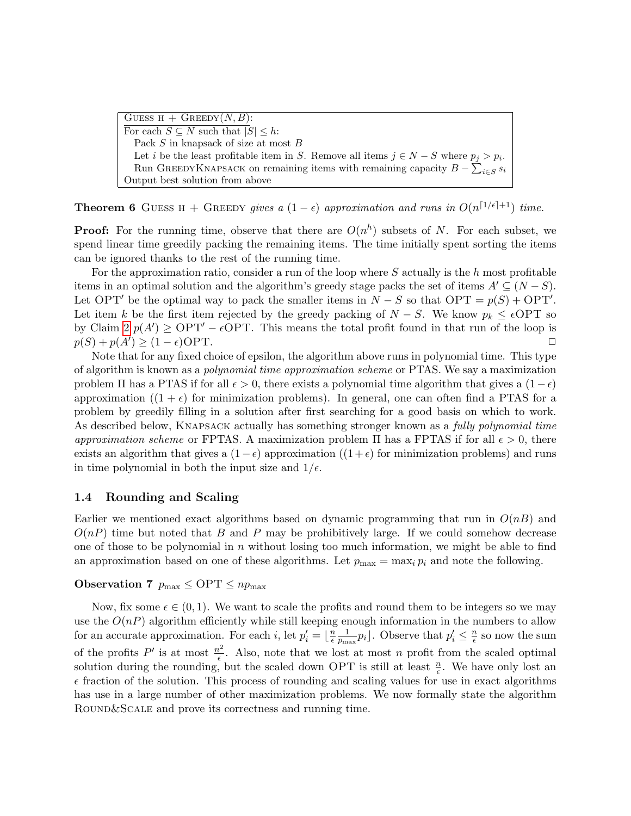GUESS  $H +$  GREEDY $(N, B)$ : For each  $S \subseteq N$  such that  $|S| \leq h$ : Pack S in knapsack of size at most B Let *i* be the least profitable item in S. Remove all items  $j \in N - S$  where  $p_j > p_i$ . Run GREEDYKNAPSACK on remaining items with remaining capacity  $B - \sum_{i \in S} s_i$ Output best solution from above

**Theorem 6** GUESS H + GREEDY gives a  $(1 - \epsilon)$  approximation and runs in  $O(n^{\lceil 1/\epsilon \rceil + 1})$  time.

**Proof:** For the running time, observe that there are  $O(n^h)$  subsets of N. For each subset, we spend linear time greedily packing the remaining items. The time initially spent sorting the items can be ignored thanks to the rest of the running time.

For the approximation ratio, consider a run of the loop where  $S$  actually is the h most profitable items in an optimal solution and the algorithm's greedy stage packs the set of items  $A' \subseteq (N - S)$ . Let OPT' be the optimal way to pack the smaller items in  $N - S$  so that OPT =  $p(S) + \text{OPT}'$ . Let item k be the first item rejected by the greedy packing of  $N-S$ . We know  $p_k \leq \epsilon$ OPT so by Claim  $2 p(A') \geq \text{OPT}' - \epsilon \text{OPT}$ . This means the total profit found in that run of the loop is  $p(S) + p(A') \geq (1 - \epsilon) \text{OPT}.$ 

Note that for any fixed choice of epsilon, the algorithm above runs in polynomial time. This type of algorithm is known as a polynomial time approximation scheme or PTAS. We say a maximization problem  $\Pi$  has a PTAS if for all  $\epsilon > 0$ , there exists a polynomial time algorithm that gives a  $(1 - \epsilon)$ approximation  $((1 + \epsilon)$  for minimization problems). In general, one can often find a PTAS for a problem by greedily filling in a solution after first searching for a good basis on which to work. As described below, KNAPSACK actually has something stronger known as a *fully polynomial time* approximation scheme or FPTAS. A maximization problem  $\Pi$  has a FPTAS if for all  $\epsilon > 0$ , there exists an algorithm that gives a  $(1-\epsilon)$  approximation  $((1+\epsilon)$  for minimization problems) and runs in time polynomial in both the input size and  $1/\epsilon$ .

#### 1.4 Rounding and Scaling

Earlier we mentioned exact algorithms based on dynamic programming that run in  $O(nB)$  and  $O(nP)$  time but noted that B and P may be prohibitively large. If we could somehow decrease one of those to be polynomial in  $n$  without losing too much information, we might be able to find an approximation based on one of these algorithms. Let  $p_{\text{max}} = \max_i p_i$  and note the following.

### Observation 7  $p_{\text{max}} \le \text{OPT} \le np_{\text{max}}$

Now, fix some  $\epsilon \in (0,1)$ . We want to scale the profits and round them to be integers so we may use the  $O(nP)$  algorithm efficiently while still keeping enough information in the numbers to allow for an accurate approximation. For each *i*, let  $p'_i = \lfloor \frac{n}{\epsilon} \rfloor$  $\overline{\epsilon}$ 1  $\frac{1}{p_{\text{max}}} p_i$ . Observe that  $p'_i \leq \frac{n}{\epsilon}$  $\frac{n}{\epsilon}$  so now the sum of the profits P' is at most  $\frac{n^2}{6}$  $\frac{\partial^2}{\partial \epsilon}$ . Also, note that we lost at most n profit from the scaled optimal solution during the rounding, but the scaled down OPT is still at least  $\frac{n}{\epsilon}$ . We have only lost an  $\epsilon$  fraction of the solution. This process of rounding and scaling values for use in exact algorithms has use in a large number of other maximization problems. We now formally state the algorithm ROUND&SCALE and prove its correctness and running time.